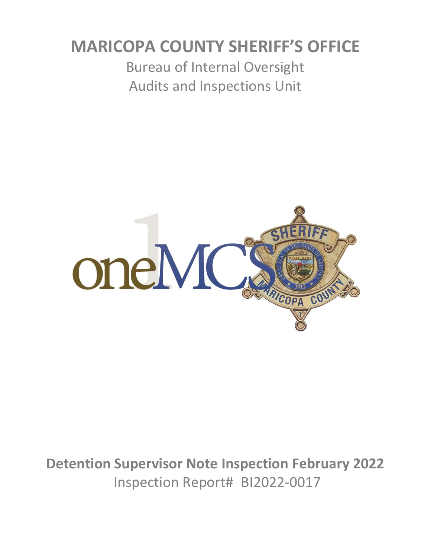# **MARICOPA COUNTY SHERIFF'S OFFICE**

Bureau of Internal Oversight Audits and Inspections Unit



**Detention Supervisor Note Inspection February 2022** Inspection Report# BI2022-0017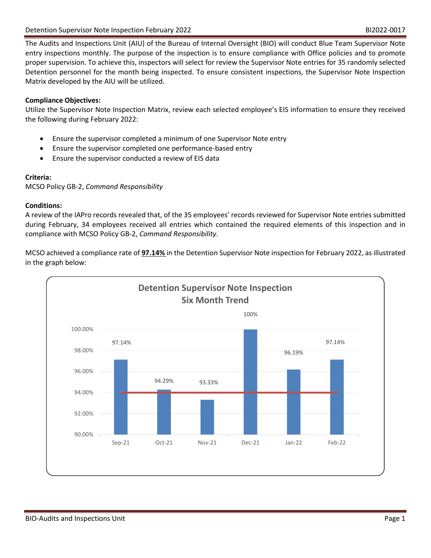The Audits and Inspections Unit (AIU) of the Bureau of Internal Oversight (BIO) will conduct Blue Team Supervisor Note entry inspections monthly. The purpose of the inspection is to ensure compliance with Office policies and to promote proper supervision. To achieve this, inspectors will select for review the Supervisor Note entries for 35 randomly selected Detention personnel for the month being inspected. To ensure consistent inspections, the Supervisor Note Inspection Matrix developed by the AIU will be utilized.

## **Compliance Objectives:**

Utilize the Supervisor Note Inspection Matrix, review each selected employee's EIS information to ensure they received the following during February 2022:

- Ensure the supervisor completed a minimum of one Supervisor Note entry
- Ensure the supervisor completed one performance-based entry
- Ensure the supervisor conducted a review of EIS data

### **Criteria:**

MCSO Policy GB-2, *Command Responsibility*

### **Conditions:**

A review of the IAPro records revealed that, of the 35 employees' records reviewed for Supervisor Note entries submitted during February, 34 employees received all entries which contained the required elements of this inspection and in compliance with MCSO Policy GB-2, *Command Responsibility*.

MCSO achieved a compliance rate of **97.14%** in the Detention Supervisor Note inspection for February 2022, as illustrated in the graph below:

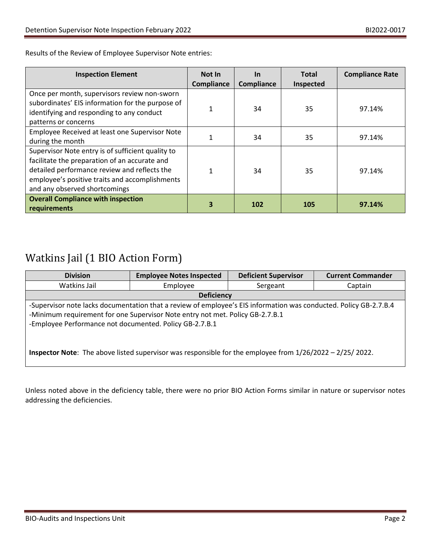Results of the Review of Employee Supervisor Note entries:

| <b>Inspection Element</b>                                                                                                                                                                                                             | <b>Not In</b><br><b>Compliance</b> | <u>In</u><br><b>Compliance</b> | <b>Total</b><br>Inspected | <b>Compliance Rate</b> |
|---------------------------------------------------------------------------------------------------------------------------------------------------------------------------------------------------------------------------------------|------------------------------------|--------------------------------|---------------------------|------------------------|
| Once per month, supervisors review non-sworn<br>subordinates' EIS information for the purpose of<br>identifying and responding to any conduct<br>patterns or concerns                                                                 |                                    | 34                             | 35                        | 97.14%                 |
| Employee Received at least one Supervisor Note<br>during the month                                                                                                                                                                    |                                    | 34                             | 35                        | 97.14%                 |
| Supervisor Note entry is of sufficient quality to<br>facilitate the preparation of an accurate and<br>detailed performance review and reflects the<br>employee's positive traits and accomplishments<br>and any observed shortcomings |                                    | 34                             | 35                        | 97.14%                 |
| <b>Overall Compliance with inspection</b><br>requirements                                                                                                                                                                             | 3                                  | 102                            | 105                       | 97.14%                 |

# Watkins Jail (1 BIO Action Form)

| <b>Division</b>                                                                                                                                                                                                                                               | <b>Employee Notes Inspected</b> | <b>Deficient Supervisor</b> | <b>Current Commander</b> |  |  |  |
|---------------------------------------------------------------------------------------------------------------------------------------------------------------------------------------------------------------------------------------------------------------|---------------------------------|-----------------------------|--------------------------|--|--|--|
| Watkins Jail                                                                                                                                                                                                                                                  | Employee                        | Sergeant                    | Captain                  |  |  |  |
| <b>Deficiency</b>                                                                                                                                                                                                                                             |                                 |                             |                          |  |  |  |
| -Supervisor note lacks documentation that a review of employee's EIS information was conducted. Policy GB-2.7.B.4<br>-Minimum requirement for one Supervisor Note entry not met. Policy GB-2.7.B.1<br>-Employee Performance not documented. Policy GB-2.7.B.1 |                                 |                             |                          |  |  |  |
| <b>Inspector Note:</b> The above listed supervisor was responsible for the employee from $1/26/2022 - 2/25/2022$ .                                                                                                                                            |                                 |                             |                          |  |  |  |

Unless noted above in the deficiency table, there were no prior BIO Action Forms similar in nature or supervisor notes addressing the deficiencies.